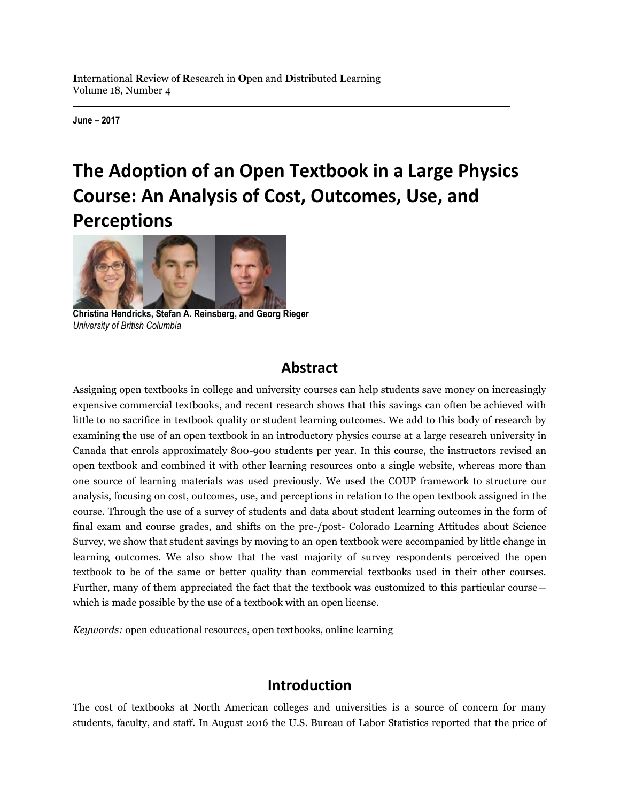**June – 2017**

# **The Adoption of an Open Textbook in a Large Physics Course: An Analysis of Cost, Outcomes, Use, and Perceptions**



**Christina Hendricks, Stefan A. Reinsberg, and Georg Rieger** *University of British Columbia*

### **Abstract**

Assigning open textbooks in college and university courses can help students save money on increasingly expensive commercial textbooks, and recent research shows that this savings can often be achieved with little to no sacrifice in textbook quality or student learning outcomes. We add to this body of research by examining the use of an open textbook in an introductory physics course at a large research university in Canada that enrols approximately 800-900 students per year. In this course, the instructors revised an open textbook and combined it with other learning resources onto a single website, whereas more than one source of learning materials was used previously. We used the COUP framework to structure our analysis, focusing on cost, outcomes, use, and perceptions in relation to the open textbook assigned in the course. Through the use of a survey of students and data about student learning outcomes in the form of final exam and course grades, and shifts on the pre-/post- Colorado Learning Attitudes about Science Survey, we show that student savings by moving to an open textbook were accompanied by little change in learning outcomes. We also show that the vast majority of survey respondents perceived the open textbook to be of the same or better quality than commercial textbooks used in their other courses. Further, many of them appreciated the fact that the textbook was customized to this particular course which is made possible by the use of a textbook with an open license.

*Keywords:* open educational resources, open textbooks, online learning

## **Introduction**

The cost of textbooks at North American colleges and universities is a source of concern for many students, faculty, and staff. In August 2016 the U.S. Bureau of Labor Statistics reported that the price of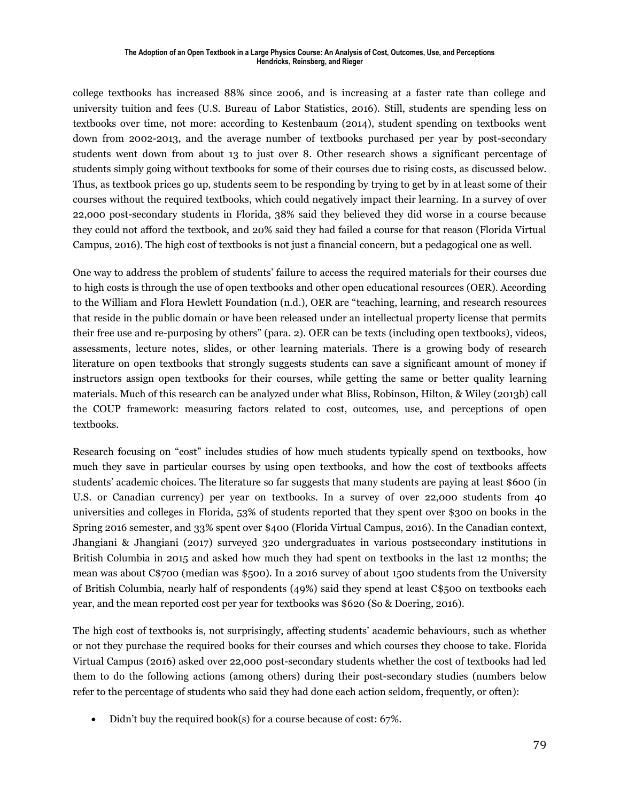college textbooks has increased 88% since 2006, and is increasing at a faster rate than college and university tuition and fees (U.S. Bureau of Labor Statistics, 2016). Still, students are spending less on textbooks over time, not more: according to Kestenbaum (2014), student spending on textbooks went down from 2002-2013, and the average number of textbooks purchased per year by post-secondary students went down from about 13 to just over 8. Other research shows a significant percentage of students simply going without textbooks for some of their courses due to rising costs, as discussed below. Thus, as textbook prices go up, students seem to be responding by trying to get by in at least some of their courses without the required textbooks, which could negatively impact their learning. In a survey of over 22,000 post-secondary students in Florida, 38% said they believed they did worse in a course because they could not afford the textbook, and 20% said they had failed a course for that reason (Florida Virtual Campus, 2016). The high cost of textbooks is not just a financial concern, but a pedagogical one as well.

One way to address the problem of students' failure to access the required materials for their courses due to high costs is through the use of open textbooks and other open educational resources (OER). According to the William and Flora Hewlett Foundation (n.d.), OER are "teaching, learning, and research resources that reside in the public domain or have been released under an intellectual property license that permits their free use and re-purposing by others" (para. 2). OER can be texts (including open textbooks), videos, assessments, lecture notes, slides, or other learning materials. There is a growing body of research literature on open textbooks that strongly suggests students can save a significant amount of money if instructors assign open textbooks for their courses, while getting the same or better quality learning materials. Much of this research can be analyzed under what Bliss, Robinson, Hilton, & Wiley (2013b) call the COUP framework: measuring factors related to cost, outcomes, use, and perceptions of open textbooks.

Research focusing on "cost" includes studies of how much students typically spend on textbooks, how much they save in particular courses by using open textbooks, and how the cost of textbooks affects students' academic choices. The literature so far suggests that many students are paying at least \$600 (in U.S. or Canadian currency) per year on textbooks. In a survey of over 22,000 students from 40 universities and colleges in Florida, 53% of students reported that they spent over \$300 on books in the Spring 2016 semester, and 33% spent over \$400 (Florida Virtual Campus, 2016). In the Canadian context, Jhangiani & Jhangiani (2017) surveyed 320 undergraduates in various postsecondary institutions in British Columbia in 2015 and asked how much they had spent on textbooks in the last 12 months; the mean was about C\$700 (median was \$500). In a 2016 survey of about 1500 students from the University of British Columbia, nearly half of respondents (49%) said they spend at least C\$500 on textbooks each year, and the mean reported cost per year for textbooks was \$620 (So & Doering, 2016).

The high cost of textbooks is, not surprisingly, affecting students' academic behaviours, such as whether or not they purchase the required books for their courses and which courses they choose to take. Florida Virtual Campus (2016) asked over 22,000 post-secondary students whether the cost of textbooks had led them to do the following actions (among others) during their post-secondary studies (numbers below refer to the percentage of students who said they had done each action seldom, frequently, or often):

Didn't buy the required book(s) for a course because of cost: 67%.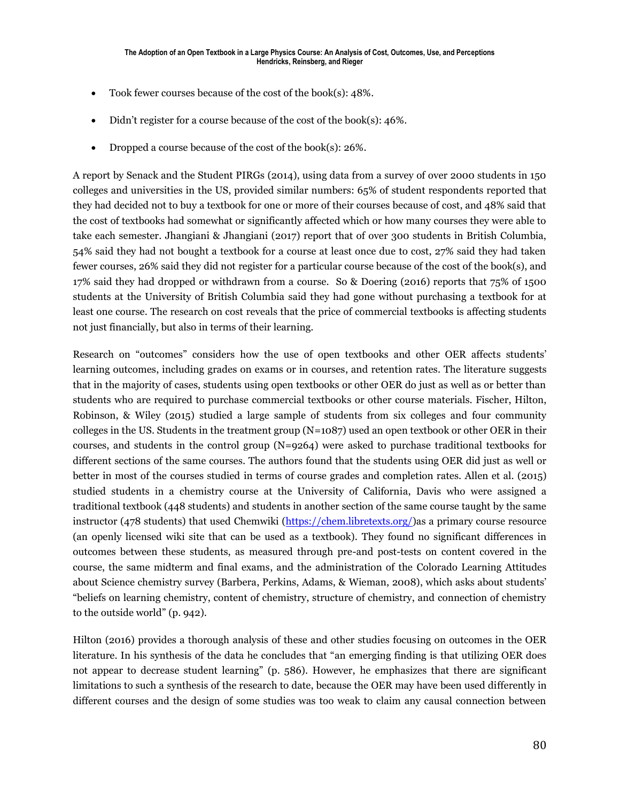- Took fewer courses because of the cost of the book(s): 48%.
- Didn't register for a course because of the cost of the book(s): 46%.
- Dropped a course because of the cost of the book(s): 26%.

A report by Senack and the Student PIRGs (2014), using data from a survey of over 2000 students in 150 colleges and universities in the US, provided similar numbers: 65% of student respondents reported that they had decided not to buy a textbook for one or more of their courses because of cost, and 48% said that the cost of textbooks had somewhat or significantly affected which or how many courses they were able to take each semester. Jhangiani & Jhangiani (2017) report that of over 300 students in British Columbia, 54% said they had not bought a textbook for a course at least once due to cost, 27% said they had taken fewer courses, 26% said they did not register for a particular course because of the cost of the book(s), and 17% said they had dropped or withdrawn from a course. So & Doering (2016) reports that 75% of 1500 students at the University of British Columbia said they had gone without purchasing a textbook for at least one course. The research on cost reveals that the price of commercial textbooks is affecting students not just financially, but also in terms of their learning.

Research on "outcomes" considers how the use of open textbooks and other OER affects students' learning outcomes, including grades on exams or in courses, and retention rates. The literature suggests that in the majority of cases, students using open textbooks or other OER do just as well as or better than students who are required to purchase commercial textbooks or other course materials. Fischer, Hilton, Robinson, & Wiley (2015) studied a large sample of students from six colleges and four community colleges in the US. Students in the treatment group (N=1087) used an open textbook or other OER in their courses, and students in the control group (N=9264) were asked to purchase traditional textbooks for different sections of the same courses. The authors found that the students using OER did just as well or better in most of the courses studied in terms of course grades and completion rates. Allen et al. (2015) studied students in a chemistry course at the University of California, Davis who were assigned a traditional textbook (448 students) and students in another section of the same course taught by the same instructor (478 students) that used Chemwiki [\(https://chem.libretexts.org/\)](https://chem.libretexts.org/)as a primary course resource (an openly licensed wiki site that can be used as a textbook). They found no significant differences in outcomes between these students, as measured through pre-and post-tests on content covered in the course, the same midterm and final exams, and the administration of the Colorado Learning Attitudes about Science chemistry survey (Barbera, Perkins, Adams, & Wieman, 2008), which asks about students' "beliefs on learning chemistry, content of chemistry, structure of chemistry, and connection of chemistry to the outside world" (p. 942).

Hilton (2016) provides a thorough analysis of these and other studies focusing on outcomes in the OER literature. In his synthesis of the data he concludes that "an emerging finding is that utilizing OER does not appear to decrease student learning" (p. 586). However, he emphasizes that there are significant limitations to such a synthesis of the research to date, because the OER may have been used differently in different courses and the design of some studies was too weak to claim any causal connection between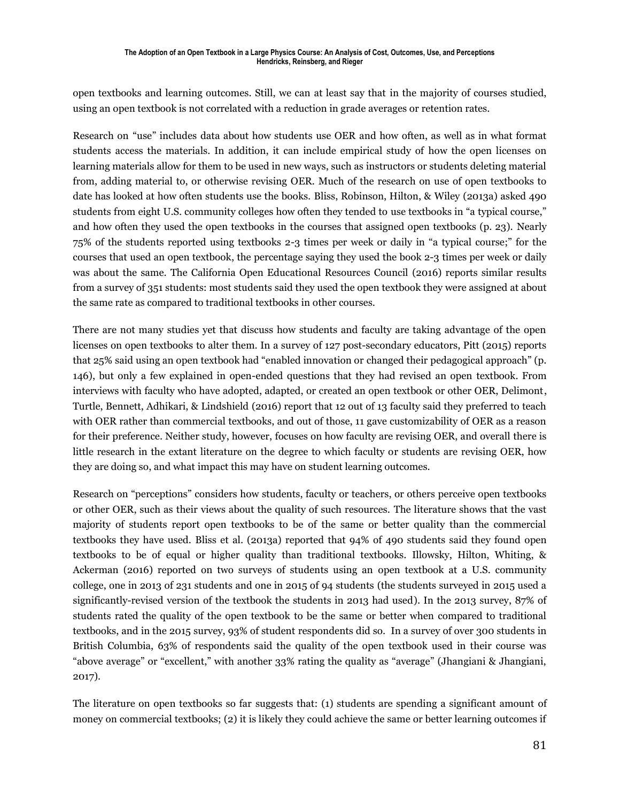open textbooks and learning outcomes. Still, we can at least say that in the majority of courses studied, using an open textbook is not correlated with a reduction in grade averages or retention rates.

Research on "use" includes data about how students use OER and how often, as well as in what format students access the materials. In addition, it can include empirical study of how the open licenses on learning materials allow for them to be used in new ways, such as instructors or students deleting material from, adding material to, or otherwise revising OER. Much of the research on use of open textbooks to date has looked at how often students use the books. Bliss, Robinson, Hilton, & Wiley (2013a) asked 490 students from eight U.S. community colleges how often they tended to use textbooks in "a typical course," and how often they used the open textbooks in the courses that assigned open textbooks (p. 23). Nearly 75% of the students reported using textbooks 2-3 times per week or daily in "a typical course;" for the courses that used an open textbook, the percentage saying they used the book 2-3 times per week or daily was about the same. The California Open Educational Resources Council (2016) reports similar results from a survey of 351 students: most students said they used the open textbook they were assigned at about the same rate as compared to traditional textbooks in other courses.

There are not many studies yet that discuss how students and faculty are taking advantage of the open licenses on open textbooks to alter them. In a survey of 127 post-secondary educators, Pitt (2015) reports that 25% said using an open textbook had "enabled innovation or changed their pedagogical approach" (p. 146), but only a few explained in open-ended questions that they had revised an open textbook. From interviews with faculty who have adopted, adapted, or created an open textbook or other OER, Delimont, Turtle, Bennett, Adhikari, & Lindshield (2016) report that 12 out of 13 faculty said they preferred to teach with OER rather than commercial textbooks, and out of those, 11 gave customizability of OER as a reason for their preference. Neither study, however, focuses on how faculty are revising OER, and overall there is little research in the extant literature on the degree to which faculty or students are revising OER, how they are doing so, and what impact this may have on student learning outcomes.

Research on "perceptions" considers how students, faculty or teachers, or others perceive open textbooks or other OER, such as their views about the quality of such resources. The literature shows that the vast majority of students report open textbooks to be of the same or better quality than the commercial textbooks they have used. Bliss et al. (2013a) reported that 94% of 490 students said they found open textbooks to be of equal or higher quality than traditional textbooks. Illowsky, Hilton, Whiting, & Ackerman (2016) reported on two surveys of students using an open textbook at a U.S. community college, one in 2013 of 231 students and one in 2015 of 94 students (the students surveyed in 2015 used a significantly-revised version of the textbook the students in 2013 had used). In the 2013 survey, 87% of students rated the quality of the open textbook to be the same or better when compared to traditional textbooks, and in the 2015 survey, 93% of student respondents did so. In a survey of over 300 students in British Columbia, 63% of respondents said the quality of the open textbook used in their course was "above average" or "excellent," with another 33% rating the quality as "average" (Jhangiani & Jhangiani, 2017).

The literature on open textbooks so far suggests that: (1) students are spending a significant amount of money on commercial textbooks; (2) it is likely they could achieve the same or better learning outcomes if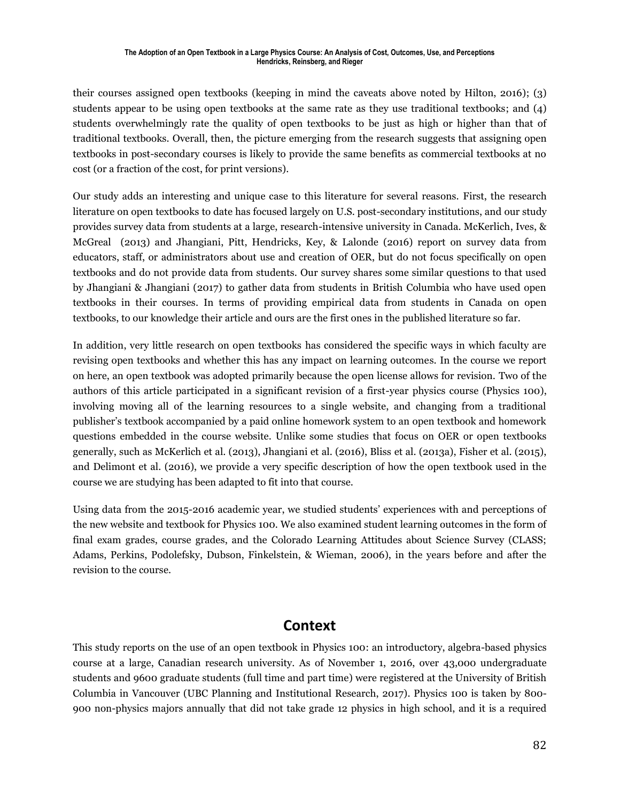their courses assigned open textbooks (keeping in mind the caveats above noted by Hilton, 2016); (3) students appear to be using open textbooks at the same rate as they use traditional textbooks; and (4) students overwhelmingly rate the quality of open textbooks to be just as high or higher than that of traditional textbooks. Overall, then, the picture emerging from the research suggests that assigning open textbooks in post-secondary courses is likely to provide the same benefits as commercial textbooks at no cost (or a fraction of the cost, for print versions).

Our study adds an interesting and unique case to this literature for several reasons. First, the research literature on open textbooks to date has focused largely on U.S. post-secondary institutions, and our study provides survey data from students at a large, research-intensive university in Canada. McKerlich, Ives, & McGreal (2013) and Jhangiani, Pitt, Hendricks, Key, & Lalonde (2016) report on survey data from educators, staff, or administrators about use and creation of OER, but do not focus specifically on open textbooks and do not provide data from students. Our survey shares some similar questions to that used by Jhangiani & Jhangiani (2017) to gather data from students in British Columbia who have used open textbooks in their courses. In terms of providing empirical data from students in Canada on open textbooks, to our knowledge their article and ours are the first ones in the published literature so far.

In addition, very little research on open textbooks has considered the specific ways in which faculty are revising open textbooks and whether this has any impact on learning outcomes. In the course we report on here, an open textbook was adopted primarily because the open license allows for revision. Two of the authors of this article participated in a significant revision of a first-year physics course (Physics 100), involving moving all of the learning resources to a single website, and changing from a traditional publisher's textbook accompanied by a paid online homework system to an open textbook and homework questions embedded in the course website. Unlike some studies that focus on OER or open textbooks generally, such as McKerlich et al. (2013), Jhangiani et al. (2016), Bliss et al. (2013a), Fisher et al. (2015), and Delimont et al. (2016), we provide a very specific description of how the open textbook used in the course we are studying has been adapted to fit into that course.

Using data from the 2015-2016 academic year, we studied students' experiences with and perceptions of the new website and textbook for Physics 100. We also examined student learning outcomes in the form of final exam grades, course grades, and the Colorado Learning Attitudes about Science Survey (CLASS; Adams, Perkins, Podolefsky, Dubson, Finkelstein, & Wieman, 2006), in the years before and after the revision to the course.

### **Context**

This study reports on the use of an open textbook in Physics 100: an introductory, algebra-based physics course at a large, Canadian research university. As of November 1, 2016, over 43,000 undergraduate students and 9600 graduate students (full time and part time) were registered at the University of British Columbia in Vancouver (UBC Planning and Institutional Research, 2017). Physics 100 is taken by 800- 900 non-physics majors annually that did not take grade 12 physics in high school, and it is a required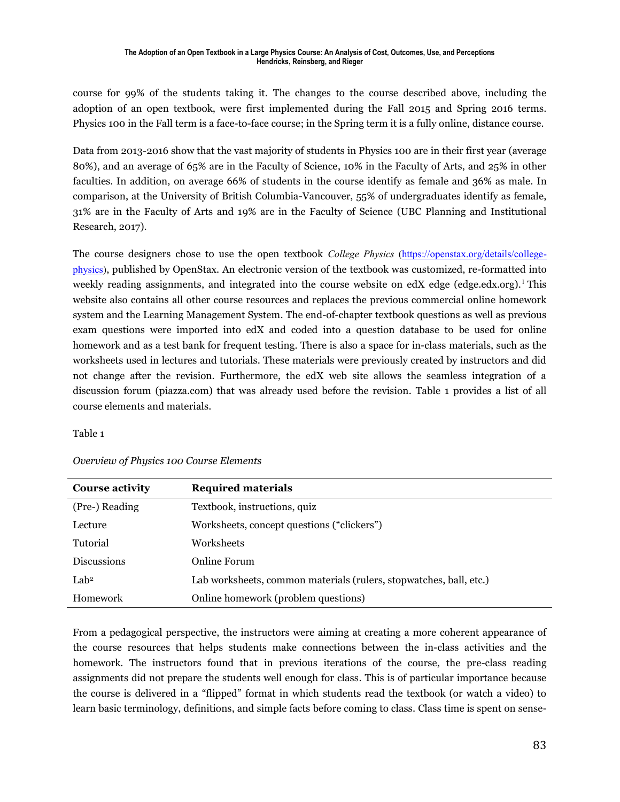course for 99% of the students taking it. The changes to the course described above, including the adoption of an open textbook, were first implemented during the Fall 2015 and Spring 2016 terms. Physics 100 in the Fall term is a face-to-face course; in the Spring term it is a fully online, distance course.

Data from 2013-2016 show that the vast majority of students in Physics 100 are in their first year (average 80%), and an average of 65% are in the Faculty of Science, 10% in the Faculty of Arts, and 25% in other faculties. In addition, on average 66% of students in the course identify as female and 36% as male. In comparison, at the University of British Columbia-Vancouver, 55% of undergraduates identify as female, 31% are in the Faculty of Arts and 19% are in the Faculty of Science (UBC Planning and Institutional Research, 2017).

The course designers chose to use the open textbook *College Physics* [\(https://openstax.org/details/college](https://openstax.org/details/college-physics)[physics\)](https://openstax.org/details/college-physics), published by OpenStax. An electronic version of the textbook was customized, re-formatted into weekly reading assignments, and integrated into the course website on edX edge (edge.edx.org).<sup>1</sup> This website also contains all other course resources and replaces the previous commercial online homework system and the Learning Management System. The end-of-chapter textbook questions as well as previous exam questions were imported into edX and coded into a question database to be used for online homework and as a test bank for frequent testing. There is also a space for in-class materials, such as the worksheets used in lectures and tutorials. These materials were previously created by instructors and did not change after the revision. Furthermore, the edX web site allows the seamless integration of a discussion forum (piazza.com) that was already used before the revision. Table 1 provides a list of all course elements and materials.

Table 1

| <b>Course activity</b> | <b>Required materials</b>                                          |
|------------------------|--------------------------------------------------------------------|
| (Pre-) Reading         | Textbook, instructions, quiz.                                      |
| Lecture                | Worksheets, concept questions ("clickers")                         |
| Tutorial               | Worksheets                                                         |
| <b>Discussions</b>     | Online Forum                                                       |
| Lab <sup>2</sup>       | Lab worksheets, common materials (rulers, stopwatches, ball, etc.) |
| Homework               | Online homework (problem questions)                                |

*Overview of Physics 100 Course Elements*

From a pedagogical perspective, the instructors were aiming at creating a more coherent appearance of the course resources that helps students make connections between the in-class activities and the homework. The instructors found that in previous iterations of the course, the pre-class reading assignments did not prepare the students well enough for class. This is of particular importance because the course is delivered in a "flipped" format in which students read the textbook (or watch a video) to learn basic terminology, definitions, and simple facts before coming to class. Class time is spent on sense-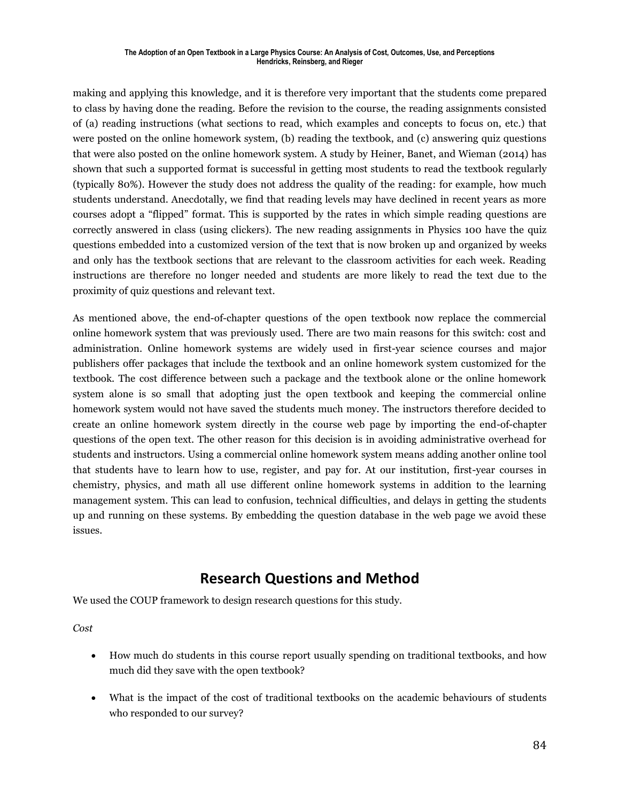making and applying this knowledge, and it is therefore very important that the students come prepared to class by having done the reading. Before the revision to the course, the reading assignments consisted of (a) reading instructions (what sections to read, which examples and concepts to focus on, etc.) that were posted on the online homework system, (b) reading the textbook, and (c) answering quiz questions that were also posted on the online homework system. A study by Heiner, Banet, and Wieman (2014) has shown that such a supported format is successful in getting most students to read the textbook regularly (typically 80%). However the study does not address the quality of the reading: for example, how much students understand. Anecdotally, we find that reading levels may have declined in recent years as more courses adopt a "flipped" format. This is supported by the rates in which simple reading questions are correctly answered in class (using clickers). The new reading assignments in Physics 100 have the quiz questions embedded into a customized version of the text that is now broken up and organized by weeks and only has the textbook sections that are relevant to the classroom activities for each week. Reading instructions are therefore no longer needed and students are more likely to read the text due to the proximity of quiz questions and relevant text.

As mentioned above, the end-of-chapter questions of the open textbook now replace the commercial online homework system that was previously used. There are two main reasons for this switch: cost and administration. Online homework systems are widely used in first-year science courses and major publishers offer packages that include the textbook and an online homework system customized for the textbook. The cost difference between such a package and the textbook alone or the online homework system alone is so small that adopting just the open textbook and keeping the commercial online homework system would not have saved the students much money. The instructors therefore decided to create an online homework system directly in the course web page by importing the end-of-chapter questions of the open text. The other reason for this decision is in avoiding administrative overhead for students and instructors. Using a commercial online homework system means adding another online tool that students have to learn how to use, register, and pay for. At our institution, first-year courses in chemistry, physics, and math all use different online homework systems in addition to the learning management system. This can lead to confusion, technical difficulties, and delays in getting the students up and running on these systems. By embedding the question database in the web page we avoid these issues.

### **Research Questions and Method**

We used the COUP framework to design research questions for this study.

*Cost*

- How much do students in this course report usually spending on traditional textbooks, and how much did they save with the open textbook?
- What is the impact of the cost of traditional textbooks on the academic behaviours of students who responded to our survey?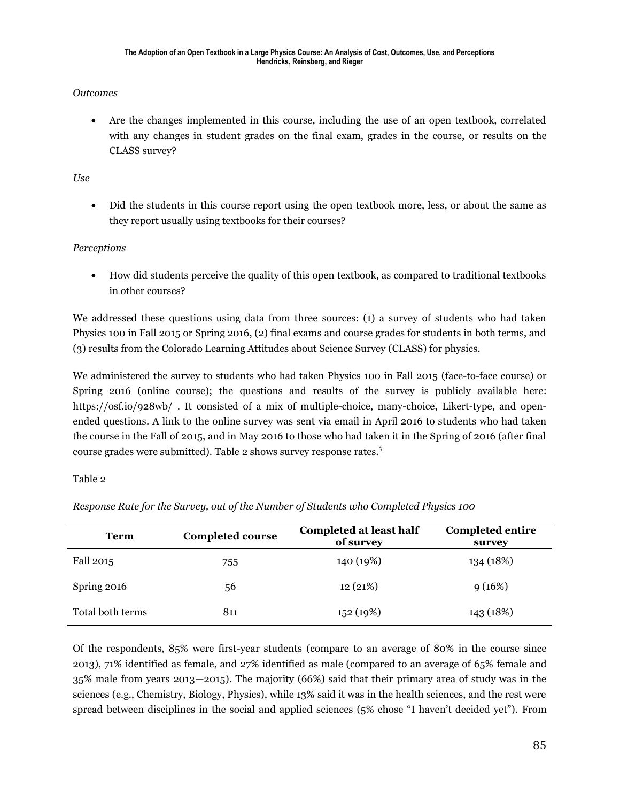### *Outcomes*

 Are the changes implemented in this course, including the use of an open textbook, correlated with any changes in student grades on the final exam, grades in the course, or results on the CLASS survey?

#### *Use*

 Did the students in this course report using the open textbook more, less, or about the same as they report usually using textbooks for their courses?

#### *Perceptions*

 How did students perceive the quality of this open textbook, as compared to traditional textbooks in other courses?

We addressed these questions using data from three sources: (1) a survey of students who had taken Physics 100 in Fall 2015 or Spring 2016, (2) final exams and course grades for students in both terms, and (3) results from the Colorado Learning Attitudes about Science Survey (CLASS) for physics.

We administered the survey to students who had taken Physics 100 in Fall 2015 (face-to-face course) or Spring 2016 (online course); the questions and results of the survey is publicly available here: https://osf.io/928wb/ . It consisted of a mix of multiple-choice, many-choice, Likert-type, and openended questions. A link to the online survey was sent via email in April 2016 to students who had taken the course in the Fall of 2015, and in May 2016 to those who had taken it in the Spring of 2016 (after final course grades were submitted). Table 2 shows survey response rates.<sup>3</sup>

### Table 2

| <b>Term</b>      | <b>Completed course</b> | <b>Completed at least half</b><br>of survey | <b>Completed entire</b><br>survey |  |
|------------------|-------------------------|---------------------------------------------|-----------------------------------|--|
| Fall 2015        | 755                     | 140 (19%)                                   | 134 (18%)                         |  |
| Spring 2016      | 56                      | 12(21%)                                     | 9(16%)                            |  |
| Total both terms | 811                     | 152 (19%)                                   | 143 (18%)                         |  |
|                  |                         |                                             |                                   |  |

*Response Rate for the Survey, out of the Number of Students who Completed Physics 100*

Of the respondents, 85% were first-year students (compare to an average of 80% in the course since 2013), 71% identified as female, and 27% identified as male (compared to an average of 65% female and 35% male from years 2013—2015). The majority (66%) said that their primary area of study was in the sciences (e.g., Chemistry, Biology, Physics), while 13% said it was in the health sciences, and the rest were spread between disciplines in the social and applied sciences (5% chose "I haven't decided yet"). From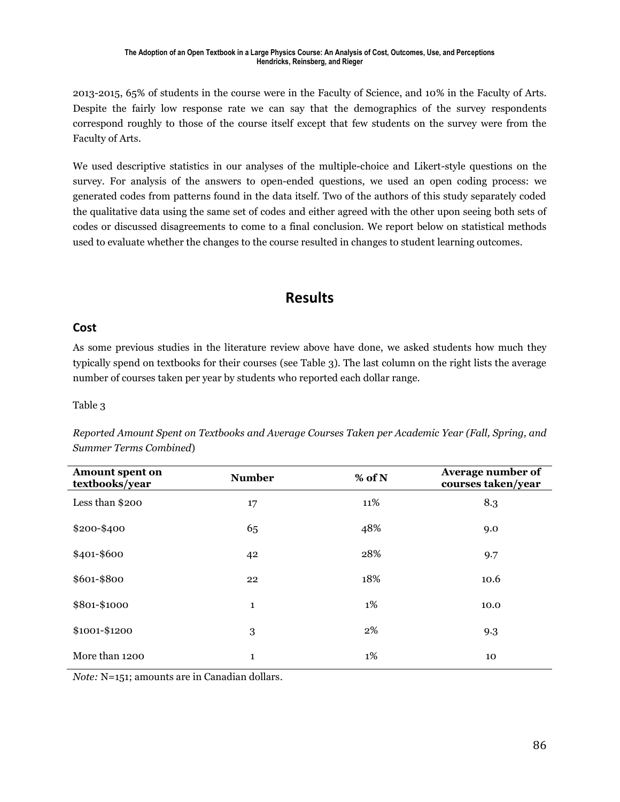2013-2015, 65% of students in the course were in the Faculty of Science, and 10% in the Faculty of Arts. Despite the fairly low response rate we can say that the demographics of the survey respondents correspond roughly to those of the course itself except that few students on the survey were from the Faculty of Arts.

We used descriptive statistics in our analyses of the multiple-choice and Likert-style questions on the survey. For analysis of the answers to open-ended questions, we used an open coding process: we generated codes from patterns found in the data itself. Two of the authors of this study separately coded the qualitative data using the same set of codes and either agreed with the other upon seeing both sets of codes or discussed disagreements to come to a final conclusion. We report below on statistical methods used to evaluate whether the changes to the course resulted in changes to student learning outcomes.

## **Results**

### **Cost**

As some previous studies in the literature review above have done, we asked students how much they typically spend on textbooks for their courses (see Table 3). The last column on the right lists the average number of courses taken per year by students who reported each dollar range.

#### Table 3

| <b>Amount spent on</b><br>textbooks/year | <b>Number</b> | % of N | Average number of<br>courses taken/year |
|------------------------------------------|---------------|--------|-----------------------------------------|
| Less than \$200                          | 17            | 11%    | 8.3                                     |
| \$200-\$400                              | 65            | 48%    | 9.0                                     |
| \$401-\$600                              | 42            | 28%    | 9.7                                     |
| \$601-\$800                              | 22            | 18%    | 10.6                                    |
| \$801-\$1000                             | 1             | $1\%$  | 10.0                                    |
| \$1001-\$1200                            | 3             | 2%     | 9.3                                     |
| More than 1200                           | 1             | 1%     | 10                                      |

*Reported Amount Spent on Textbooks and Average Courses Taken per Academic Year (Fall, Spring, and Summer Terms Combined*)

*Note:* N=151; amounts are in Canadian dollars.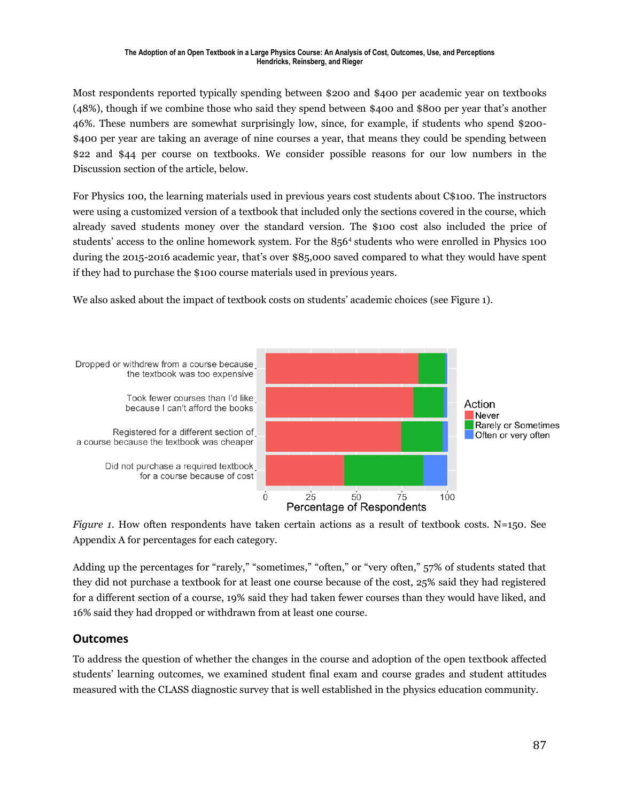Most respondents reported typically spending between \$200 and \$400 per academic year on textbooks (48%), though if we combine those who said they spend between \$400 and \$800 per year that's another 46%. These numbers are somewhat surprisingly low, since, for example, if students who spend \$200- \$400 per year are taking an average of nine courses a year, that means they could be spending between \$22 and \$44 per course on textbooks. We consider possible reasons for our low numbers in the Discussion section of the article, below.

For Physics 100, the learning materials used in previous years cost students about C\$100. The instructors were using a customized version of a textbook that included only the sections covered in the course, which already saved students money over the standard version. The \$100 cost also included the price of students' access to the online homework system. For the 856<sup>4</sup> students who were enrolled in Physics 100 during the 2015-2016 academic year, that's over \$85,000 saved compared to what they would have spent if they had to purchase the \$100 course materials used in previous years.

We also asked about the impact of textbook costs on students' academic choices (see Figure 1).



*Figure* 1. How often respondents have taken certain actions as a result of textbook costs. N=150. See Appendix A for percentages for each category.

Adding up the percentages for "rarely," "sometimes," "often," or "very often," 57% of students stated that they did not purchase a textbook for at least one course because of the cost, 25% said they had registered for a different section of a course, 19% said they had taken fewer courses than they would have liked, and 16% said they had dropped or withdrawn from at least one course.

### **Outcomes**

To address the question of whether the changes in the course and adoption of the open textbook affected students' learning outcomes, we examined student final exam and course grades and student attitudes measured with the CLASS diagnostic survey that is well established in the physics education community.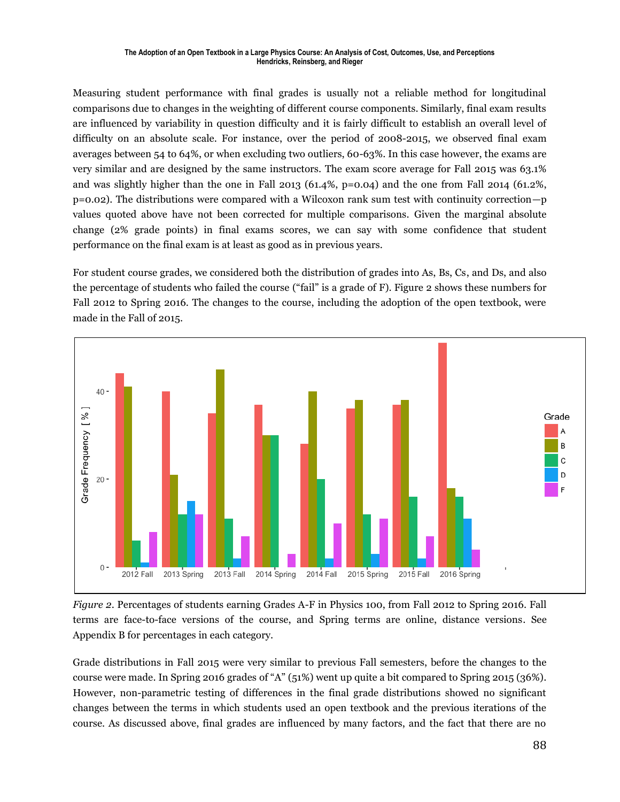Measuring student performance with final grades is usually not a reliable method for longitudinal comparisons due to changes in the weighting of different course components. Similarly, final exam results are influenced by variability in question difficulty and it is fairly difficult to establish an overall level of difficulty on an absolute scale. For instance, over the period of 2008-2015, we observed final exam averages between 54 to 64%, or when excluding two outliers, 60-63%. In this case however, the exams are very similar and are designed by the same instructors. The exam score average for Fall 2015 was 63.1% and was slightly higher than the one in Fall 2013 (61.4%, p=0.04) and the one from Fall 2014 (61.2%, p=0.02). The distributions were compared with a Wilcoxon rank sum test with continuity correction—p values quoted above have not been corrected for multiple comparisons. Given the marginal absolute change (2% grade points) in final exams scores, we can say with some confidence that student performance on the final exam is at least as good as in previous years.

For student course grades, we considered both the distribution of grades into As, Bs, Cs, and Ds, and also the percentage of students who failed the course ("fail" is a grade of F). Figure 2 shows these numbers for Fall 2012 to Spring 2016. The changes to the course, including the adoption of the open textbook, were made in the Fall of 2015.



*Figure 2*. Percentages of students earning Grades A-F in Physics 100, from Fall 2012 to Spring 2016. Fall terms are face-to-face versions of the course, and Spring terms are online, distance versions. See Appendix B for percentages in each category.

Grade distributions in Fall 2015 were very similar to previous Fall semesters, before the changes to the course were made. In Spring 2016 grades of "A" (51%) went up quite a bit compared to Spring 2015 (36%). However, non-parametric testing of differences in the final grade distributions showed no significant changes between the terms in which students used an open textbook and the previous iterations of the course. As discussed above, final grades are influenced by many factors, and the fact that there are no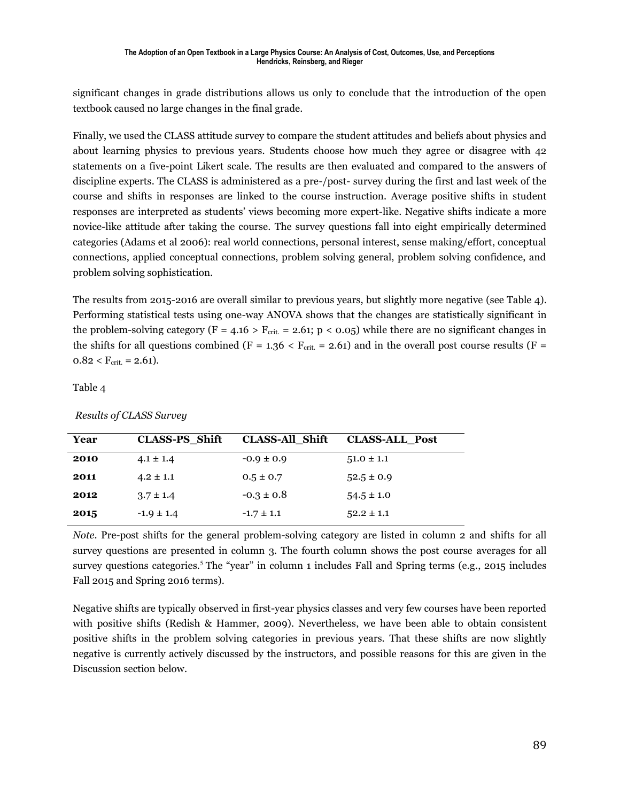significant changes in grade distributions allows us only to conclude that the introduction of the open textbook caused no large changes in the final grade.

Finally, we used the CLASS attitude survey to compare the student attitudes and beliefs about physics and about learning physics to previous years. Students choose how much they agree or disagree with 42 statements on a five-point Likert scale. The results are then evaluated and compared to the answers of discipline experts. The CLASS is administered as a pre-/post- survey during the first and last week of the course and shifts in responses are linked to the course instruction. Average positive shifts in student responses are interpreted as students' views becoming more expert-like. Negative shifts indicate a more novice-like attitude after taking the course. The survey questions fall into eight empirically determined categories (Adams et al 2006): real world connections, personal interest, sense making/effort, conceptual connections, applied conceptual connections, problem solving general, problem solving confidence, and problem solving sophistication.

The results from 2015-2016 are overall similar to previous years, but slightly more negative (see Table 4). Performing statistical tests using one-way ANOVA shows that the changes are statistically significant in the problem-solving category (F = 4.16 > F<sub>crit.</sub> = 2.61; p < 0.05) while there are no significant changes in the shifts for all questions combined (F = 1.36 < F<sub>crit.</sub> = 2.61) and in the overall post course results (F =  $0.82 < F_{crit.} = 2.61$ ).

#### Table 4

| Year | <b>CLASS-PS Shift</b> | <b>CLASS-All Shift</b> | <b>CLASS-ALL Post</b> |
|------|-----------------------|------------------------|-----------------------|
| 2010 | $4.1 \pm 1.4$         | $-0.9 \pm 0.9$         | $51.0 \pm 1.1$        |
| 2011 | $4.2 \pm 1.1$         | $0.5 \pm 0.7$          | $52.5 \pm 0.9$        |
| 2012 | $3.7 \pm 1.4$         | $-0.3 \pm 0.8$         | $54.5 \pm 1.0$        |
| 2015 | $-1.9 \pm 1.4$        | $-1.7 \pm 1.1$         | $52.2 \pm 1.1$        |

*Results of CLASS Survey* 

*Note*. Pre-post shifts for the general problem-solving category are listed in column 2 and shifts for all survey questions are presented in column 3. The fourth column shows the post course averages for all survey questions categories.<sup>5</sup> The "year" in column 1 includes Fall and Spring terms (e.g., 2015 includes Fall 2015 and Spring 2016 terms).

Negative shifts are typically observed in first-year physics classes and very few courses have been reported with positive shifts (Redish & Hammer, 2009). Nevertheless, we have been able to obtain consistent positive shifts in the problem solving categories in previous years. That these shifts are now slightly negative is currently actively discussed by the instructors, and possible reasons for this are given in the Discussion section below.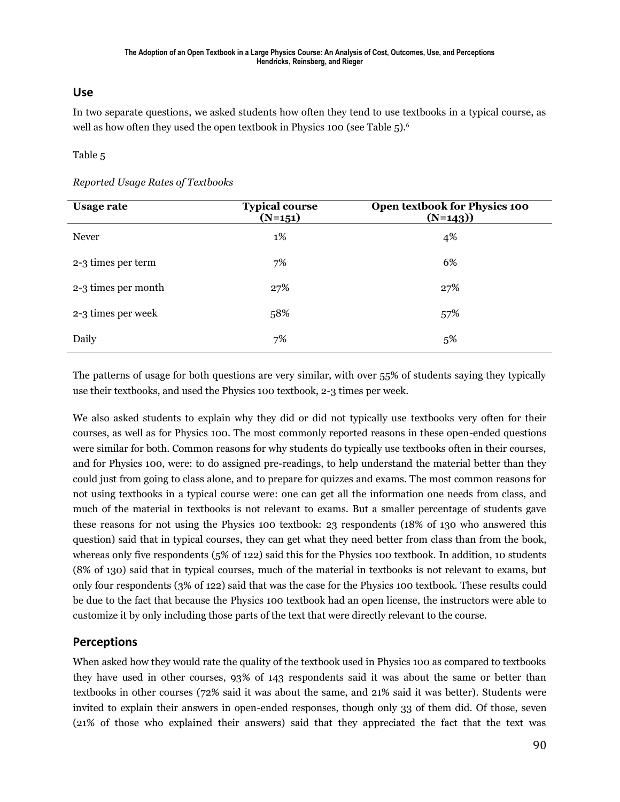### **Use**

In two separate questions, we asked students how often they tend to use textbooks in a typical course, as well as how often they used the open textbook in Physics 100 (see Table  $5$ ).<sup>6</sup>

#### Table 5

#### *Reported Usage Rates of Textbooks*

| <b>Usage rate</b>   | <b>Typical course</b><br>$(N=151)$ | <b>Open textbook for Physics 100</b><br>$(N=143))$ |
|---------------------|------------------------------------|----------------------------------------------------|
| <b>Never</b>        | 1%                                 | 4%                                                 |
| 2-3 times per term  | 7%                                 | 6%                                                 |
| 2-3 times per month | 27%                                | 27%                                                |
| 2-3 times per week  | 58%                                | 57%                                                |
| Daily               | 7%                                 | 5%                                                 |

The patterns of usage for both questions are very similar, with over 55% of students saying they typically use their textbooks, and used the Physics 100 textbook, 2-3 times per week.

We also asked students to explain why they did or did not typically use textbooks very often for their courses, as well as for Physics 100. The most commonly reported reasons in these open-ended questions were similar for both. Common reasons for why students do typically use textbooks often in their courses, and for Physics 100, were: to do assigned pre-readings, to help understand the material better than they could just from going to class alone, and to prepare for quizzes and exams. The most common reasons for not using textbooks in a typical course were: one can get all the information one needs from class, and much of the material in textbooks is not relevant to exams. But a smaller percentage of students gave these reasons for not using the Physics 100 textbook: 23 respondents (18% of 130 who answered this question) said that in typical courses, they can get what they need better from class than from the book, whereas only five respondents (5% of 122) said this for the Physics 100 textbook. In addition, 10 students (8% of 130) said that in typical courses, much of the material in textbooks is not relevant to exams, but only four respondents (3% of 122) said that was the case for the Physics 100 textbook. These results could be due to the fact that because the Physics 100 textbook had an open license, the instructors were able to customize it by only including those parts of the text that were directly relevant to the course.

### **Perceptions**

When asked how they would rate the quality of the textbook used in Physics 100 as compared to textbooks they have used in other courses, 93% of 143 respondents said it was about the same or better than textbooks in other courses (72% said it was about the same, and 21% said it was better). Students were invited to explain their answers in open-ended responses, though only 33 of them did. Of those, seven (21% of those who explained their answers) said that they appreciated the fact that the text was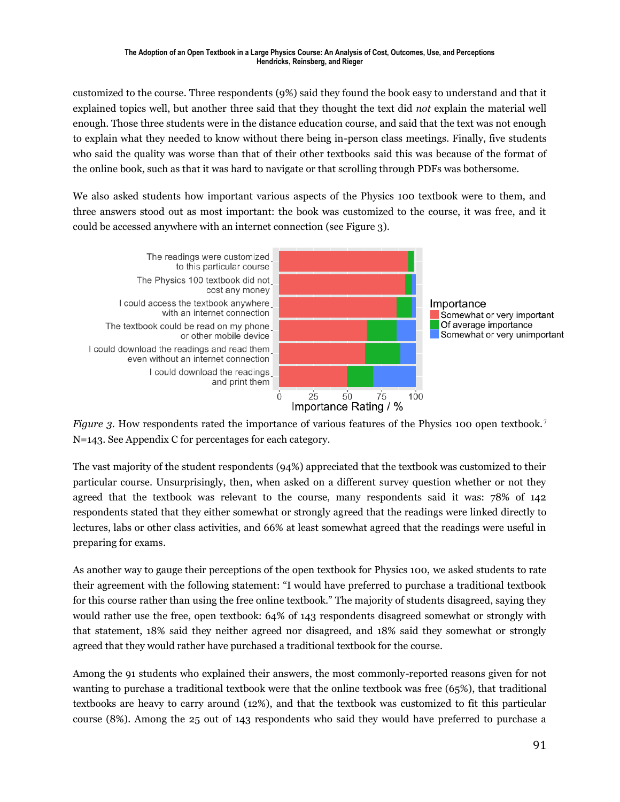customized to the course. Three respondents (9%) said they found the book easy to understand and that it explained topics well, but another three said that they thought the text did *not* explain the material well enough. Those three students were in the distance education course, and said that the text was not enough to explain what they needed to know without there being in-person class meetings. Finally, five students who said the quality was worse than that of their other textbooks said this was because of the format of the online book, such as that it was hard to navigate or that scrolling through PDFs was bothersome.

We also asked students how important various aspects of the Physics 100 textbook were to them, and three answers stood out as most important: the book was customized to the course, it was free, and it could be accessed anywhere with an internet connection (see Figure 3).



*Figure 3*. How respondents rated the importance of various features of the Physics 100 open textbook.<sup>7</sup> N=143. See Appendix C for percentages for each category.

The vast majority of the student respondents (94%) appreciated that the textbook was customized to their particular course. Unsurprisingly, then, when asked on a different survey question whether or not they agreed that the textbook was relevant to the course, many respondents said it was: 78% of 142 respondents stated that they either somewhat or strongly agreed that the readings were linked directly to lectures, labs or other class activities, and 66% at least somewhat agreed that the readings were useful in preparing for exams.

As another way to gauge their perceptions of the open textbook for Physics 100, we asked students to rate their agreement with the following statement: "I would have preferred to purchase a traditional textbook for this course rather than using the free online textbook." The majority of students disagreed, saying they would rather use the free, open textbook: 64% of 143 respondents disagreed somewhat or strongly with that statement, 18% said they neither agreed nor disagreed, and 18% said they somewhat or strongly agreed that they would rather have purchased a traditional textbook for the course.

Among the 91 students who explained their answers, the most commonly-reported reasons given for not wanting to purchase a traditional textbook were that the online textbook was free (65%), that traditional textbooks are heavy to carry around (12%), and that the textbook was customized to fit this particular course (8%). Among the 25 out of 143 respondents who said they would have preferred to purchase a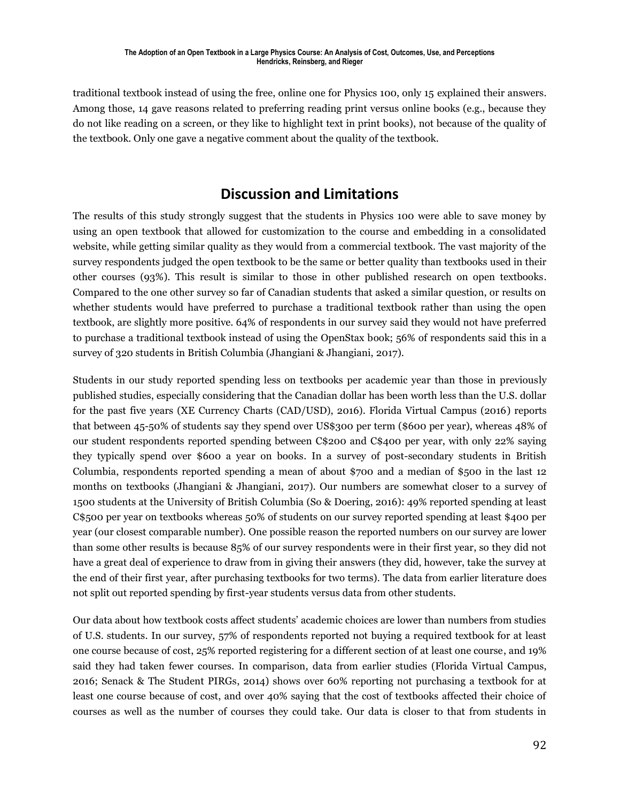traditional textbook instead of using the free, online one for Physics 100, only 15 explained their answers. Among those, 14 gave reasons related to preferring reading print versus online books (e.g., because they do not like reading on a screen, or they like to highlight text in print books), not because of the quality of the textbook. Only one gave a negative comment about the quality of the textbook.

## **Discussion and Limitations**

The results of this study strongly suggest that the students in Physics 100 were able to save money by using an open textbook that allowed for customization to the course and embedding in a consolidated website, while getting similar quality as they would from a commercial textbook. The vast majority of the survey respondents judged the open textbook to be the same or better quality than textbooks used in their other courses (93%). This result is similar to those in other published research on open textbooks. Compared to the one other survey so far of Canadian students that asked a similar question, or results on whether students would have preferred to purchase a traditional textbook rather than using the open textbook, are slightly more positive. 64% of respondents in our survey said they would not have preferred to purchase a traditional textbook instead of using the OpenStax book; 56% of respondents said this in a survey of 320 students in British Columbia (Jhangiani & Jhangiani, 2017).

Students in our study reported spending less on textbooks per academic year than those in previously published studies, especially considering that the Canadian dollar has been worth less than the U.S. dollar for the past five years (XE Currency Charts (CAD/USD), 2016). Florida Virtual Campus (2016) reports that between 45-50% of students say they spend over US\$300 per term (\$600 per year), whereas 48% of our student respondents reported spending between C\$200 and C\$400 per year, with only 22% saying they typically spend over \$600 a year on books. In a survey of post-secondary students in British Columbia, respondents reported spending a mean of about \$700 and a median of \$500 in the last 12 months on textbooks (Jhangiani & Jhangiani, 2017). Our numbers are somewhat closer to a survey of 1500 students at the University of British Columbia (So & Doering, 2016): 49% reported spending at least C\$500 per year on textbooks whereas 50% of students on our survey reported spending at least \$400 per year (our closest comparable number). One possible reason the reported numbers on our survey are lower than some other results is because 85% of our survey respondents were in their first year, so they did not have a great deal of experience to draw from in giving their answers (they did, however, take the survey at the end of their first year, after purchasing textbooks for two terms). The data from earlier literature does not split out reported spending by first-year students versus data from other students.

Our data about how textbook costs affect students' academic choices are lower than numbers from studies of U.S. students. In our survey, 57% of respondents reported not buying a required textbook for at least one course because of cost, 25% reported registering for a different section of at least one course, and 19% said they had taken fewer courses. In comparison, data from earlier studies (Florida Virtual Campus, 2016; Senack & The Student PIRGs, 2014) shows over 60% reporting not purchasing a textbook for at least one course because of cost, and over 40% saying that the cost of textbooks affected their choice of courses as well as the number of courses they could take. Our data is closer to that from students in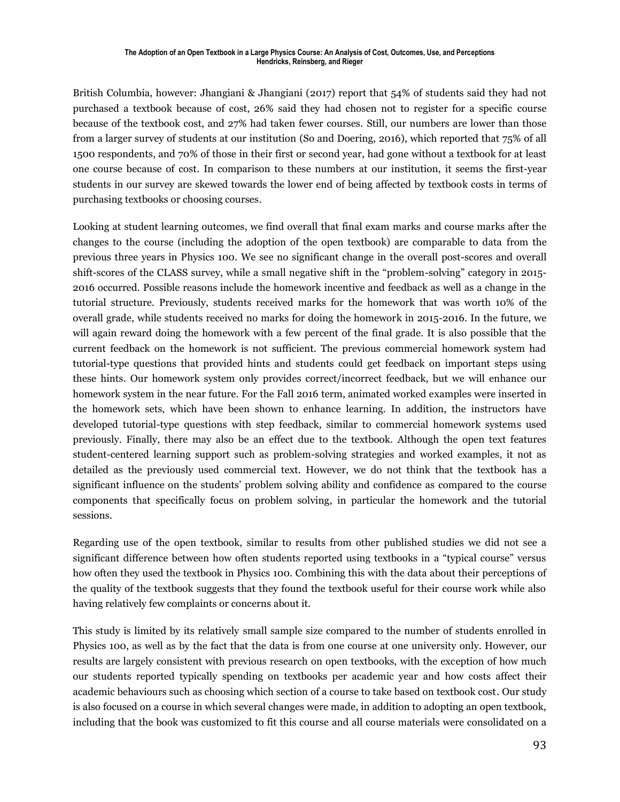British Columbia, however: Jhangiani & Jhangiani (2017) report that 54% of students said they had not purchased a textbook because of cost, 26% said they had chosen not to register for a specific course because of the textbook cost, and 27% had taken fewer courses. Still, our numbers are lower than those from a larger survey of students at our institution (So and Doering, 2016), which reported that 75% of all 1500 respondents, and 70% of those in their first or second year, had gone without a textbook for at least one course because of cost. In comparison to these numbers at our institution, it seems the first-year students in our survey are skewed towards the lower end of being affected by textbook costs in terms of purchasing textbooks or choosing courses.

Looking at student learning outcomes, we find overall that final exam marks and course marks after the changes to the course (including the adoption of the open textbook) are comparable to data from the previous three years in Physics 100. We see no significant change in the overall post-scores and overall shift-scores of the CLASS survey, while a small negative shift in the "problem-solving" category in 2015- 2016 occurred. Possible reasons include the homework incentive and feedback as well as a change in the tutorial structure. Previously, students received marks for the homework that was worth 10% of the overall grade, while students received no marks for doing the homework in 2015-2016. In the future, we will again reward doing the homework with a few percent of the final grade. It is also possible that the current feedback on the homework is not sufficient. The previous commercial homework system had tutorial-type questions that provided hints and students could get feedback on important steps using these hints. Our homework system only provides correct/incorrect feedback, but we will enhance our homework system in the near future. For the Fall 2016 term, animated worked examples were inserted in the homework sets, which have been shown to enhance learning. In addition, the instructors have developed tutorial-type questions with step feedback, similar to commercial homework systems used previously. Finally, there may also be an effect due to the textbook. Although the open text features student-centered learning support such as problem-solving strategies and worked examples, it not as detailed as the previously used commercial text. However, we do not think that the textbook has a significant influence on the students' problem solving ability and confidence as compared to the course components that specifically focus on problem solving, in particular the homework and the tutorial sessions.

Regarding use of the open textbook, similar to results from other published studies we did not see a significant difference between how often students reported using textbooks in a "typical course" versus how often they used the textbook in Physics 100. Combining this with the data about their perceptions of the quality of the textbook suggests that they found the textbook useful for their course work while also having relatively few complaints or concerns about it.

This study is limited by its relatively small sample size compared to the number of students enrolled in Physics 100, as well as by the fact that the data is from one course at one university only. However, our results are largely consistent with previous research on open textbooks, with the exception of how much our students reported typically spending on textbooks per academic year and how costs affect their academic behaviours such as choosing which section of a course to take based on textbook cost. Our study is also focused on a course in which several changes were made, in addition to adopting an open textbook, including that the book was customized to fit this course and all course materials were consolidated on a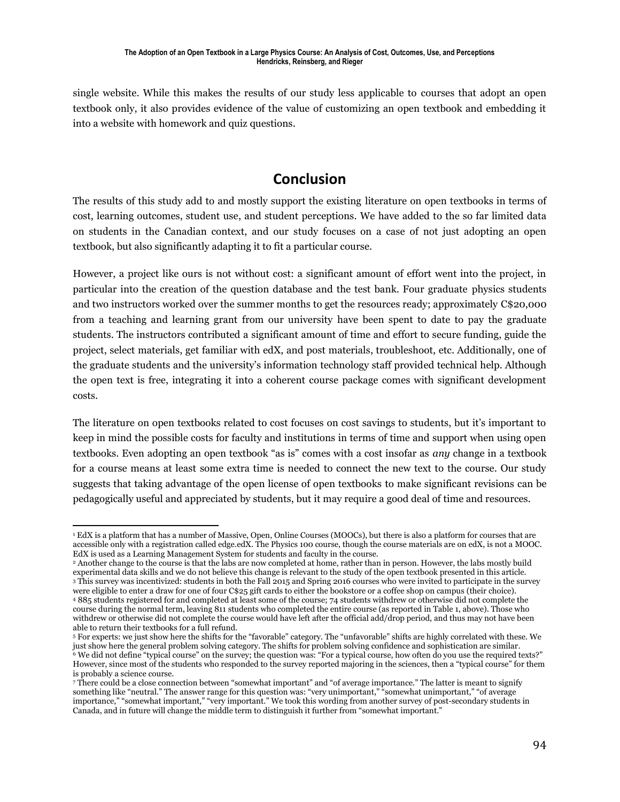single website. While this makes the results of our study less applicable to courses that adopt an open textbook only, it also provides evidence of the value of customizing an open textbook and embedding it into a website with homework and quiz questions.

## **Conclusion**

The results of this study add to and mostly support the existing literature on open textbooks in terms of cost, learning outcomes, student use, and student perceptions. We have added to the so far limited data on students in the Canadian context, and our study focuses on a case of not just adopting an open textbook, but also significantly adapting it to fit a particular course.

However, a project like ours is not without cost: a significant amount of effort went into the project, in particular into the creation of the question database and the test bank. Four graduate physics students and two instructors worked over the summer months to get the resources ready; approximately C\$20,000 from a teaching and learning grant from our university have been spent to date to pay the graduate students. The instructors contributed a significant amount of time and effort to secure funding, guide the project, select materials, get familiar with edX, and post materials, troubleshoot, etc. Additionally, one of the graduate students and the university's information technology staff provided technical help. Although the open text is free, integrating it into a coherent course package comes with significant development costs.

The literature on open textbooks related to cost focuses on cost savings to students, but it's important to keep in mind the possible costs for faculty and institutions in terms of time and support when using open textbooks. Even adopting an open textbook "as is" comes with a cost insofar as *any* change in a textbook for a course means at least some extra time is needed to connect the new text to the course. Our study suggests that taking advantage of the open license of open textbooks to make significant revisions can be pedagogically useful and appreciated by students, but it may require a good deal of time and resources.

 $\overline{a}$ <sup>1</sup> EdX is a platform that has a number of Massive, Open, Online Courses (MOOCs), but there is also a platform for courses that are accessible only with a registration called edge.edX. The Physics 100 course, though the course materials are on edX, is not a MOOC. EdX is used as a Learning Management System for students and faculty in the course.

<sup>2</sup> Another change to the course is that the labs are now completed at home, rather than in person. However, the labs mostly build experimental data skills and we do not believe this change is relevant to the study of the open textbook presented in this article. <sup>3</sup> This survey was incentivized: students in both the Fall 2015 and Spring 2016 courses who were invited to participate in the survey were eligible to enter a draw for one of four C\$25 gift cards to either the bookstore or a coffee shop on campus (their choice). <sup>4</sup> 885 students registered for and completed at least some of the course; 74 students withdrew or otherwise did not complete the course during the normal term, leaving 811 students who completed the entire course (as reported in Table 1, above). Those who withdrew or otherwise did not complete the course would have left after the official add/drop period, and thus may not have been able to return their textbooks for a full refund.

<sup>5</sup> For experts: we just show here the shifts for the "favorable" category. The "unfavorable" shifts are highly correlated with these. We just show here the general problem solving category. The shifts for problem solving confidence and sophistication are similar. <sup>6</sup> We did not define "typical course" on the survey; the question was: "For a typical course, how often do you use the required texts?" However, since most of the students who responded to the survey reported majoring in the sciences, then a "typical course" for them is probably a science course.

<sup>7</sup> There could be a close connection between "somewhat important" and "of average importance." The latter is meant to signify something like "neutral." The answer range for this question was: "very unimportant," "somewhat unimportant," "of average importance," "somewhat important," "very important." We took this wording from another survey of post-secondary students in Canada, and in future will change the middle term to distinguish it further from "somewhat important."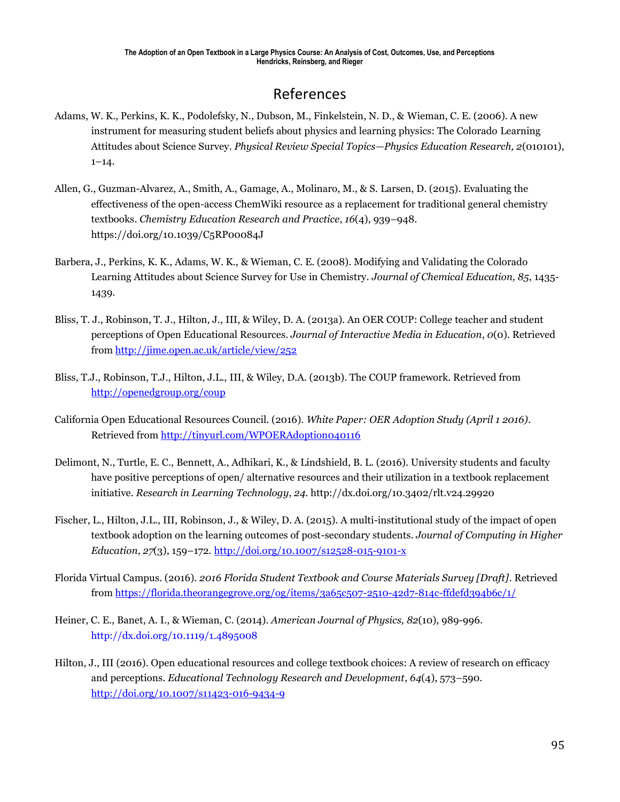## References

- Adams, W. K., Perkins, K. K., Podolefsky, N., Dubson, M., Finkelstein, N. D., & Wieman, C. E. (2006). A new instrument for measuring student beliefs about physics and learning physics: The Colorado Learning Attitudes about Science Survey. *Physical Review Special Topics—Physics Education Research, 2*(010101),  $1 - 14.$
- Allen, G., Guzman-Alvarez, A., Smith, A., Gamage, A., Molinaro, M., & S. Larsen, D. (2015). Evaluating the effectiveness of the open-access ChemWiki resource as a replacement for traditional general chemistry textbooks. *Chemistry Education Research and Practice*, *16*(4), 939–948. https://doi.org/10.1039/C5RP00084J
- Barbera, J., Perkins, K. K., Adams, W. K., & Wieman, C. E. (2008). Modifying and Validating the Colorado Learning Attitudes about Science Survey for Use in Chemistry. *Journal of Chemical Education, 85*, 1435- 1439.
- Bliss, T. J., Robinson, T. J., Hilton, J., III, & Wiley, D. A. (2013a). An OER COUP: College teacher and student perceptions of Open Educational Resources. *Journal of Interactive Media in Education*, *0*(0). Retrieved from<http://jime.open.ac.uk/article/view/252>
- Bliss, T.J., Robinson, T.J., Hilton, J.L., III, & Wiley, D.A. (2013b). The COUP framework. Retrieved from <http://openedgroup.org/coup>
- California Open Educational Resources Council. (2016). *White Paper: OER Adoption Study (April 1 2016)*. Retrieved from<http://tinyurl.com/WPOERAdoption040116>
- Delimont, N., Turtle, E. C., Bennett, A., Adhikari, K., & Lindshield, B. L. (2016). University students and faculty have positive perceptions of open/ alternative resources and their utilization in a textbook replacement initiative. *Research in Learning Technology*, *24*. http://dx.doi.org/10.3402/rlt.v24.29920
- Fischer, L., Hilton, J.L., III, Robinson, J., & Wiley, D. A. (2015). A multi-institutional study of the impact of open textbook adoption on the learning outcomes of post-secondary students. *Journal of Computing in Higher Education*, *27*(3), 159–172.<http://doi.org/10.1007/s12528-015-9101-x>
- Florida Virtual Campus. (2016). *2016 Florida Student Textbook and Course Materials Survey [Draft]*. Retrieved from<https://florida.theorangegrove.org/og/items/3a65c507-2510-42d7-814c-ffdefd394b6c/1/>
- Heiner, C. E., Banet, A. I., & Wieman, C. (2014). *American Journal of Physics, 82*(10), 989-996. http://dx.doi.org/10.1119/1.4895008
- Hilton, J., III (2016). Open educational resources and college textbook choices: A review of research on efficacy and perceptions. *Educational Technology Research and Development*, *64*(4), 573–590. <http://doi.org/10.1007/s11423-016-9434-9>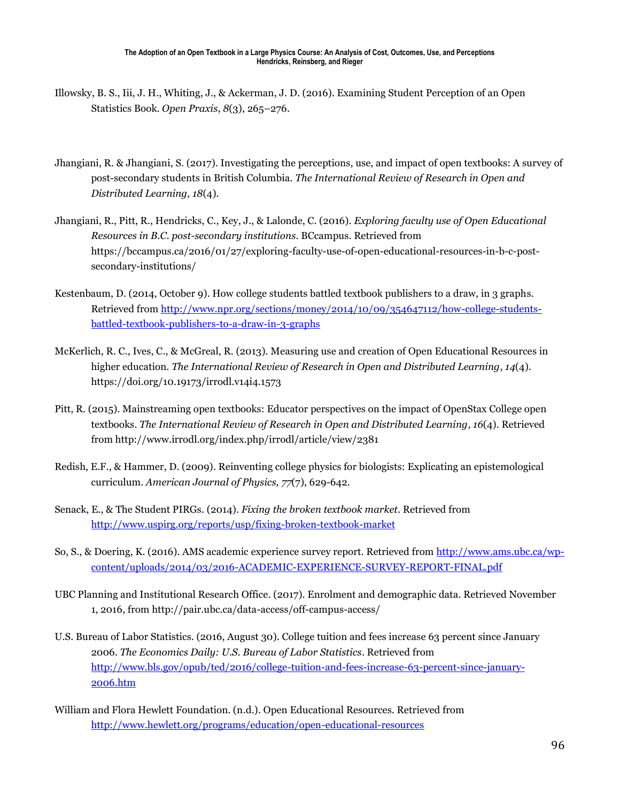- Illowsky, B. S., Iii, J. H., Whiting, J., & Ackerman, J. D. (2016). Examining Student Perception of an Open Statistics Book. *Open Praxis*, *8*(3), 265–276.
- Jhangiani, R. & Jhangiani, S. (2017). Investigating the perceptions, use, and impact of open textbooks: A survey of post-secondary students in British Columbia. *The International Review of Research in Open and Distributed Learning, 18*(4).
- Jhangiani, R., Pitt, R., Hendricks, C., Key, J., & Lalonde, C. (2016). *Exploring faculty use of Open Educational Resources in B.C. post-secondary institutions*. BCcampus. Retrieved from https://bccampus.ca/2016/01/27/exploring-faculty-use-of-open-educational-resources-in-b-c-postsecondary-institutions/
- Kestenbaum, D. (2014, October 9). How college students battled textbook publishers to a draw, in 3 graphs. Retrieved from [http://www.npr.org/sections/money/2014/10/09/354647112/how-college-students](http://www.npr.org/sections/money/2014/10/09/354647112/how-college-students-battled-textbook-publishers-to-a-draw-in-3-graphs)[battled-textbook-publishers-to-a-draw-in-3-graphs](http://www.npr.org/sections/money/2014/10/09/354647112/how-college-students-battled-textbook-publishers-to-a-draw-in-3-graphs)
- McKerlich, R. C., Ives, C., & McGreal, R. (2013). Measuring use and creation of Open Educational Resources in higher education. *The International Review of Research in Open and Distributed Learning*, *14*(4). https://doi.org/10.19173/irrodl.v14i4.1573
- Pitt, R. (2015). Mainstreaming open textbooks: Educator perspectives on the impact of OpenStax College open textbooks. *The International Review of Research in Open and Distributed Learning*, *16*(4). Retrieved from http://www.irrodl.org/index.php/irrodl/article/view/2381
- Redish, E.F., & Hammer, D. (2009). Reinventing college physics for biologists: Explicating an epistemological curriculum. *American Journal of Physics, 77*(7), 629-642.
- Senack, E., & The Student PIRGs. (2014). *Fixing the broken textbook market*. Retrieved from <http://www.uspirg.org/reports/usp/fixing-broken-textbook-market>
- So, S., & Doering, K. (2016). AMS academic experience survey report. Retrieved from [http://www.ams.ubc.ca/wp](http://www.ams.ubc.ca/wp-content/uploads/2014/03/2016-ACADEMIC-EXPERIENCE-SURVEY-REPORT-FINAL.pdf)[content/uploads/2014/03/2016-ACADEMIC-EXPERIENCE-SURVEY-REPORT-FINAL.pdf](http://www.ams.ubc.ca/wp-content/uploads/2014/03/2016-ACADEMIC-EXPERIENCE-SURVEY-REPORT-FINAL.pdf)
- UBC Planning and Institutional Research Office. (2017). Enrolment and demographic data. Retrieved November 1, 2016, from http://pair.ubc.ca/data-access/off-campus-access/
- U.S. Bureau of Labor Statistics. (2016, August 30). College tuition and fees increase 63 percent since January 2006. *The Economics Daily: U.S. Bureau of Labor Statistics*. Retrieved from [http://www.bls.gov/opub/ted/2016/college-tuition-and-fees-increase-63-percent-since-january-](http://www.bls.gov/opub/ted/2016/college-tuition-and-fees-increase-63-percent-since-january-2006.htm)[2006.htm](http://www.bls.gov/opub/ted/2016/college-tuition-and-fees-increase-63-percent-since-january-2006.htm)
- William and Flora Hewlett Foundation. (n.d.). Open Educational Resources. Retrieved from <http://www.hewlett.org/programs/education/open-educational-resources>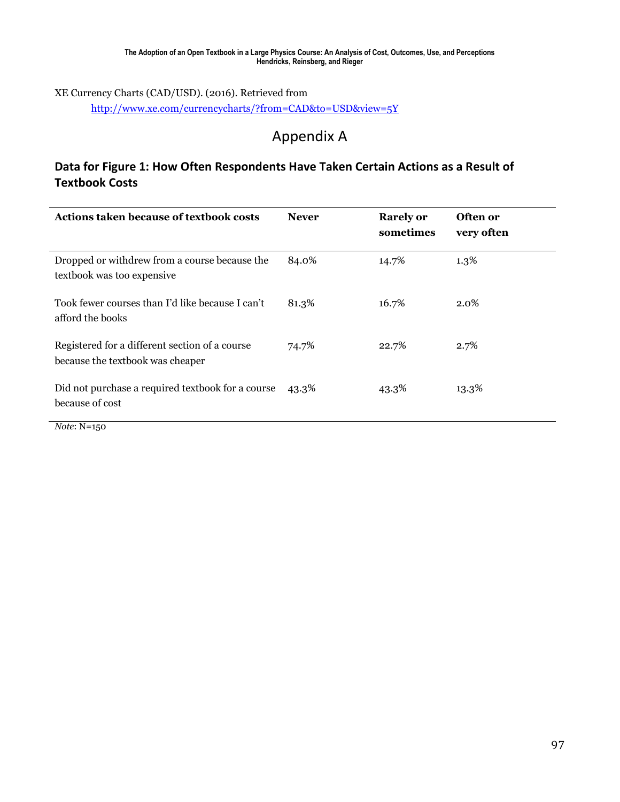XE Currency Charts (CAD/USD). (2016). Retrieved from

<http://www.xe.com/currencycharts/?from=CAD&to=USD&view=5Y>

# Appendix A

### **Data for Figure 1: How Often Respondents Have Taken Certain Actions as a Result of Textbook Costs**

| <b>Actions taken because of textbook costs</b>                                     | <b>Never</b> | <b>Rarely or</b><br>sometimes | Often or<br>very often |
|------------------------------------------------------------------------------------|--------------|-------------------------------|------------------------|
| Dropped or withdrew from a course because the<br>textbook was too expensive        | 84.0%        | 14.7%                         | $1.3\%$                |
| Took fewer courses than I'd like because I can't<br>afford the books               | 81.3%        | 16.7%                         | 2.0%                   |
| Registered for a different section of a course<br>because the textbook was cheaper | 74.7%        | 22.7%                         | 2.7%                   |
| Did not purchase a required textbook for a course<br>because of cost               | 43.3%        | 43.3%                         | 13.3%                  |

*Note*: N=150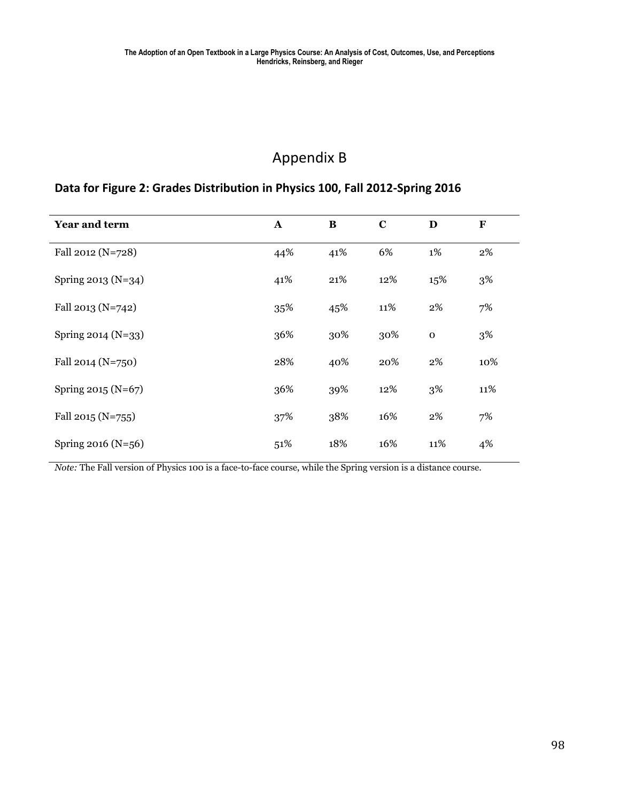# Appendix B

### **Data for Figure 2: Grades Distribution in Physics 100, Fall 2012-Spring 2016**

| <b>Year and term</b>   | $\mathbf{A}$ | B   | $\mathbf C$ | D           | F     |
|------------------------|--------------|-----|-------------|-------------|-------|
| Fall 2012 (N=728)      | 44%          | 41% | 6%          | 1%          | $2\%$ |
| Spring 2013 ( $N=34$ ) | 41%          | 21% | 12%         | 15%         | 3%    |
| Fall 2013 (N=742)      | 35%          | 45% | 11%         | 2%          | 7%    |
| Spring $2014$ (N=33)   | 36%          | 30% | 30%         | $\mathbf 0$ | 3%    |
| Fall 2014 (N=750)      | 28%          | 40% | 20%         | 2%          | 10%   |
| Spring 2015 (N=67)     | 36%          | 39% | 12%         | 3%          | 11%   |
| Fall 2015 (N=755)      | 37%          | 38% | 16%         | 2%          | 7%    |
| Spring $2016 (N=56)$   | 51%          | 18% | 16%         | 11%         | 4%    |

*Note:* The Fall version of Physics 100 is a face-to-face course, while the Spring version is a distance course.